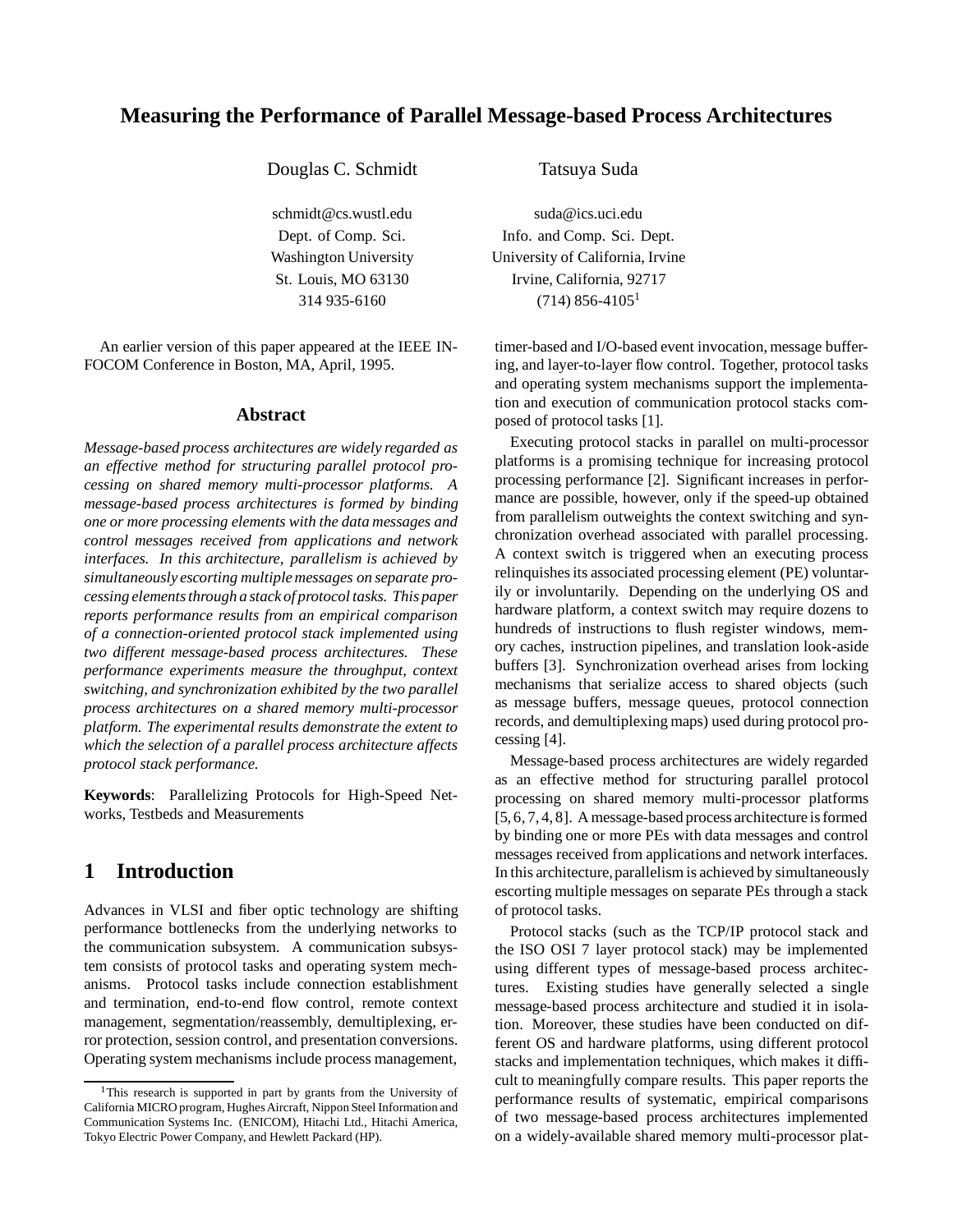## **Measuring the Performance of Parallel Message-based Process Architectures**

Douglas C. Schmidt Tatsuya Suda

An earlier version of this paper appeared at the IEEE IN-FOCOM Conference in Boston, MA, April, 1995.

#### **Abstract**

*Message-based process architectures are widely regarded as an effective method for structuring parallel protocol processing on shared memory multi-processor platforms. A message-based process architectures is formed by binding one or more processing elements with the data messages and control messages received from applications and network interfaces. In this architecture, parallelism is achieved by simultaneously escorting multiple messages on separate processing elements through a stack of protocol tasks. This paper reports performance results from an empirical comparison of a connection-oriented protocol stack implemented using two different message-based process architectures. These performance experiments measure the throughput, context switching, and synchronization exhibited by the two parallel process architectures on a shared memory multi-processor platform. The experimental results demonstrate the extent to which the selection of a parallel process architecture affects protocol stack performance.*

**Keywords**: Parallelizing Protocols for High-Speed Networks, Testbeds and Measurements

## **1 Introduction**

Advances in VLSI and fiber optic technology are shifting performance bottlenecks from the underlying networks to the communication subsystem. A communication subsystem consists of protocol tasks and operating system mechanisms. Protocol tasks include connection establishment and termination, end-to-end flow control, remote context management, segmentation/reassembly, demultiplexing, error protection, session control, and presentation conversions. Operating system mechanisms include process management,

schmidt@cs.wustl.edu suda@ics.uci.edu Dept. of Comp. Sci. Info. and Comp. Sci. Dept. Washington University University of California, Irvine St. Louis, MO 63130 Irvine, California, 92717 314 935-6160 (714) 856-4105<sup>1</sup>

> timer-based and I/O-based event invocation, message buffering, and layer-to-layer flow control. Together, protocol tasks and operating system mechanisms support the implementation and execution of communication protocol stacks composed of protocol tasks [1].

> Executing protocol stacks in parallel on multi-processor platforms is a promising technique for increasing protocol processing performance [2]. Significant increases in performance are possible, however, only if the speed-up obtained from parallelism outweights the context switching and synchronization overhead associated with parallel processing. A context switch is triggered when an executing process relinquishes its associated processing element (PE) voluntarily or involuntarily. Depending on the underlying OS and hardware platform, a context switch may require dozens to hundreds of instructions to flush register windows, memory caches, instruction pipelines, and translation look-aside buffers [3]. Synchronization overhead arises from locking mechanisms that serialize access to shared objects (such as message buffers, message queues, protocol connection records, and demultiplexing maps) used during protocol processing [4].

> Message-based process architectures are widely regarded as an effective method for structuring parallel protocol processing on shared memory multi-processor platforms [5, 6, 7, 4, 8]. A message-based process architecture is formed by binding one or more PEs with data messages and control messages received from applications and network interfaces. In this architecture, parallelism is achieved by simultaneously escorting multiple messages on separate PEs through a stack of protocol tasks.

> Protocol stacks (such as the TCP/IP protocol stack and the ISO OSI 7 layer protocol stack) may be implemented using different types of message-based process architectures. Existing studies have generally selected a single message-based process architecture and studied it in isolation. Moreover, these studies have been conducted on different OS and hardware platforms, using different protocol stacks and implementation techniques, which makes it difficult to meaningfully compare results. This paper reports the performance results of systematic, empirical comparisons of two message-based process architectures implemented on a widely-available shared memory multi-processor plat-

<sup>&</sup>lt;sup>1</sup>This research is supported in part by grants from the University of California MICRO program, Hughes Aircraft, Nippon Steel Information and Communication Systems Inc. (ENICOM), Hitachi Ltd., Hitachi America, Tokyo Electric Power Company, and Hewlett Packard (HP).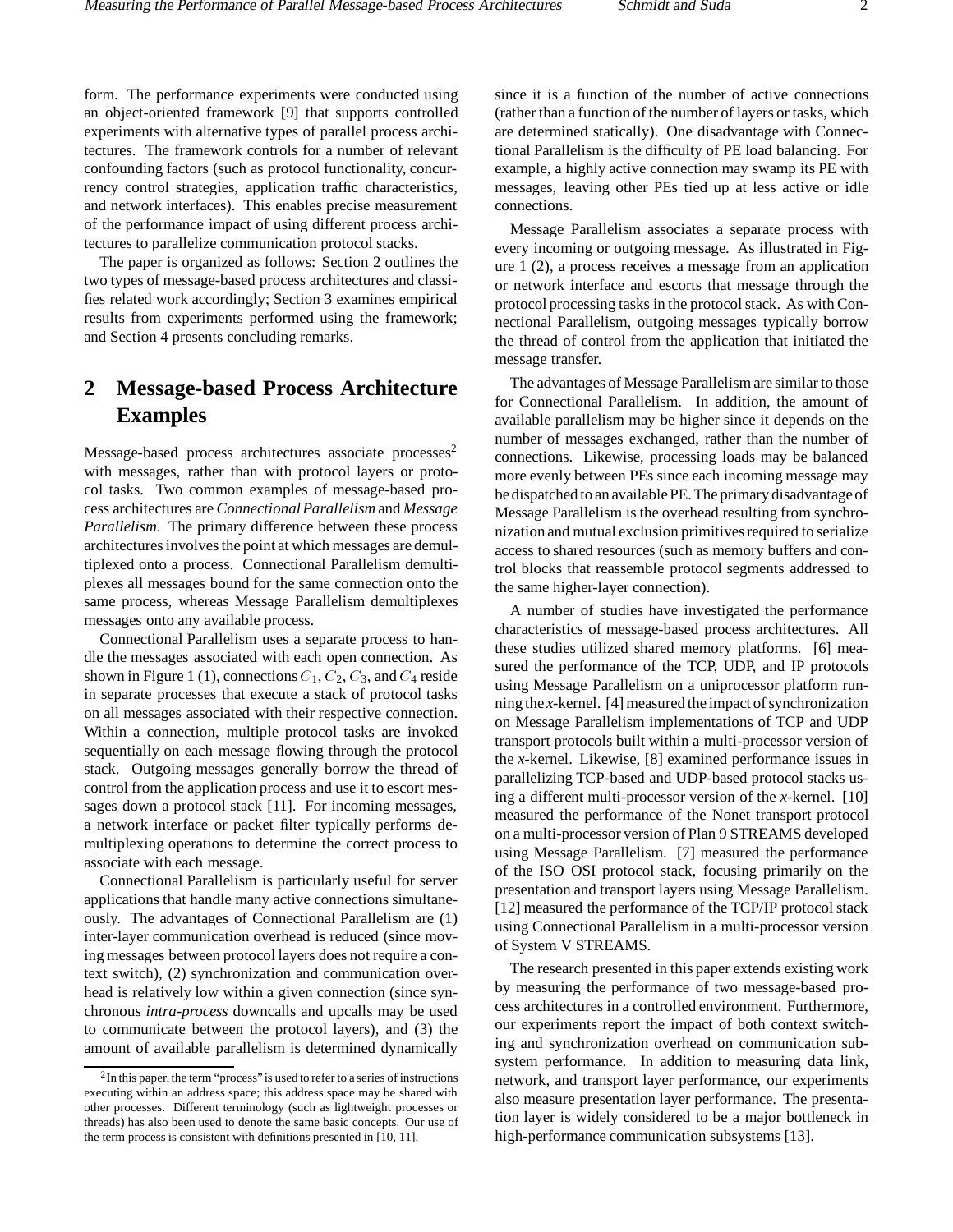form. The performance experiments were conducted using an object-oriented framework [9] that supports controlled experiments with alternative types of parallel process architectures. The framework controls for a number of relevant confounding factors (such as protocol functionality, concurrency control strategies, application traffic characteristics, and network interfaces). This enables precise measurement of the performance impact of using different process architectures to parallelize communication protocol stacks.

The paper is organized as follows: Section 2 outlines the two types of message-based process architectures and classifies related work accordingly; Section 3 examines empirical results from experiments performed using the framework; and Section 4 presents concluding remarks.

# **2 Message-based Process Architecture Examples**

Message-based process architectures associate processes<sup>2</sup> with messages, rather than with protocol layers or protocol tasks. Two common examples of message-based process architectures are *Connectional Parallelism* and *Message Parallelism*. The primary difference between these process architectures involves the point at which messages are demultiplexed onto a process. Connectional Parallelism demultiplexes all messages bound for the same connection onto the same process, whereas Message Parallelism demultiplexes messages onto any available process.

Connectional Parallelism uses a separate process to handle the messages associated with each open connection. As shown in Figure 1 (1), connections  $C_1$ ,  $C_2$ ,  $C_3$ , and  $C_4$  reside in separate processes that execute a stack of protocol tasks on all messages associated with their respective connection. Within a connection, multiple protocol tasks are invoked sequentially on each message flowing through the protocol stack. Outgoing messages generally borrow the thread of control from the application process and use it to escort messages down a protocol stack [11]. For incoming messages, a network interface or packet filter typically performs demultiplexing operations to determine the correct process to associate with each message.

Connectional Parallelism is particularly useful for server applications that handle many active connections simultaneously. The advantages of Connectional Parallelism are (1) inter-layer communication overhead is reduced (since moving messages between protocol layers does not require a context switch), (2) synchronization and communication overhead is relatively low within a given connection (since synchronous *intra-process* downcalls and upcalls may be used to communicate between the protocol layers), and (3) the amount of available parallelism is determined dynamically

since it is a function of the number of active connections (rather than a function of the number of layers or tasks, which are determined statically). One disadvantage with Connectional Parallelism is the difficulty of PE load balancing. For example, a highly active connection may swamp its PE with messages, leaving other PEs tied up at less active or idle connections.

Message Parallelism associates a separate process with every incoming or outgoing message. As illustrated in Figure 1 (2), a process receives a message from an application or network interface and escorts that message through the protocol processing tasks in the protocol stack. As with Connectional Parallelism, outgoing messages typically borrow the thread of control from the application that initiated the message transfer.

The advantages of Message Parallelism are similar to those for Connectional Parallelism. In addition, the amount of available parallelism may be higher since it depends on the number of messages exchanged, rather than the number of connections. Likewise, processing loads may be balanced more evenly between PEs since each incoming message may be dispatched to an available PE. The primary disadvantage of Message Parallelism is the overhead resulting from synchronization and mutual exclusion primitives required to serialize access to shared resources (such as memory buffers and control blocks that reassemble protocol segments addressed to the same higher-layer connection).

A number of studies have investigated the performance characteristics of message-based process architectures. All these studies utilized shared memory platforms. [6] measured the performance of the TCP, UDP, and IP protocols using Message Parallelism on a uniprocessor platform running the *x*-kernel. [4] measured the impact of synchronization on Message Parallelism implementations of TCP and UDP transport protocols built within a multi-processor version of the *x*-kernel. Likewise, [8] examined performance issues in parallelizing TCP-based and UDP-based protocol stacks using a different multi-processor version of the *x*-kernel. [10] measured the performance of the Nonet transport protocol on a multi-processor version of Plan 9 STREAMS developed using Message Parallelism. [7] measured the performance of the ISO OSI protocol stack, focusing primarily on the presentation and transport layers using Message Parallelism. [12] measured the performance of the TCP/IP protocol stack using Connectional Parallelism in a multi-processor version of System V STREAMS.

The research presented in this paper extends existing work by measuring the performance of two message-based process architectures in a controlled environment. Furthermore, our experiments report the impact of both context switching and synchronization overhead on communication subsystem performance. In addition to measuring data link, network, and transport layer performance, our experiments also measure presentation layer performance. The presentation layer is widely considered to be a major bottleneck in high-performance communication subsystems [13].

 $2$ In this paper, the term "process" is used to refer to a series of instructions executing within an address space; this address space may be shared with other processes. Different terminology (such as lightweight processes or threads) has also been used to denote the same basic concepts. Our use of the term process is consistent with definitions presented in [10, 11].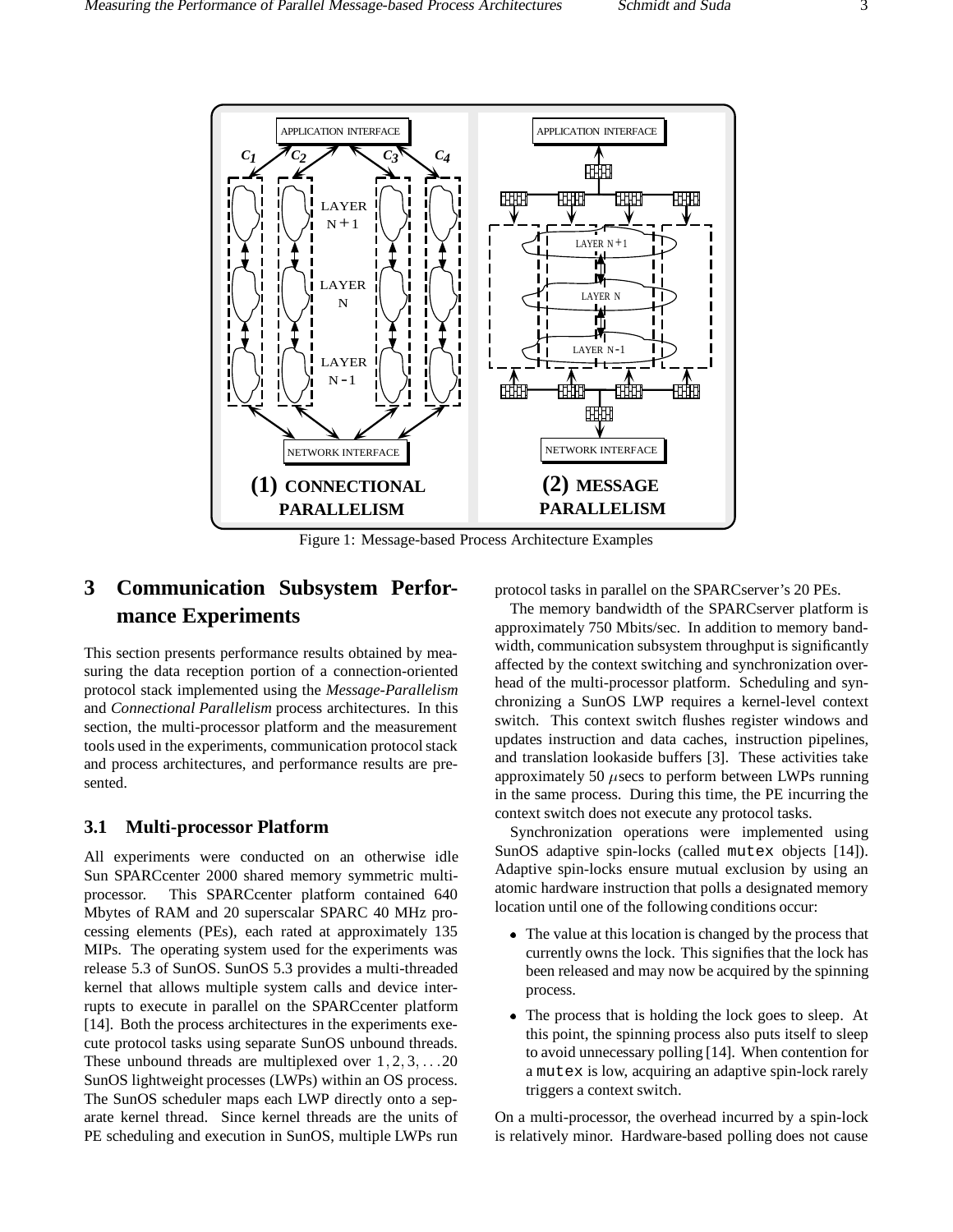

Figure 1: Message-based Process Architecture Examples

# **3 Communication Subsystem Performance Experiments**

This section presents performance results obtained by measuring the data reception portion of a connection-oriented protocol stack implemented using the *Message-Parallelism* and *Connectional Parallelism* process architectures. In this section, the multi-processor platform and the measurement tools used in the experiments, communication protocol stack and process architectures, and performance results are presented.

#### **3.1 Multi-processor Platform**

All experiments were conducted on an otherwise idle Sun SPARCcenter 2000 shared memory symmetric multiprocessor. This SPARCcenter platform contained 640 Mbytes of RAM and 20 superscalar SPARC 40 MHz processing elements (PEs), each rated at approximately 135 MIPs. The operating system used for the experiments was release 5.3 of SunOS. SunOS 5.3 provides a multi-threaded kernel that allows multiple system calls and device interrupts to execute in parallel on the SPARCcenter platform [14]. Both the process architectures in the experiments execute protocol tasks using separate SunOS unbound threads. These unbound threads are multiplexed over  $1, 2, 3, \ldots 20$ SunOS lightweight processes (LWPs) within an OS process. The SunOS scheduler maps each LWP directly onto a separate kernel thread. Since kernel threads are the units of PE scheduling and execution in SunOS, multiple LWPs run

protocol tasks in parallel on the SPARCserver's 20 PEs.

The memory bandwidth of the SPARCserver platform is approximately 750 Mbits/sec. In addition to memory bandwidth, communication subsystem throughput is significantly affected by the context switching and synchronization overhead of the multi-processor platform. Scheduling and synchronizing a SunOS LWP requires a kernel-level context switch. This context switch flushes register windows and updates instruction and data caches, instruction pipelines, and translation lookaside buffers [3]. These activities take approximately 50  $\mu$ secs to perform between LWPs running in the same process. During this time, the PE incurring the context switch does not execute any protocol tasks.

Synchronization operations were implemented using SunOS adaptive spin-locks (called mutex objects [14]). Adaptive spin-locks ensure mutual exclusion by using an atomic hardware instruction that polls a designated memory location until one of the following conditions occur:

- The value at this location is changed by the process that currently owns the lock. This signifies that the lock has been released and may now be acquired by the spinning process.
- The process that is holding the lock goes to sleep. At this point, the spinning process also puts itself to sleep to avoid unnecessary polling [14]. When contention for a mutex is low, acquiring an adaptive spin-lock rarely triggers a context switch.

On a multi-processor, the overhead incurred by a spin-lock is relatively minor. Hardware-based polling does not cause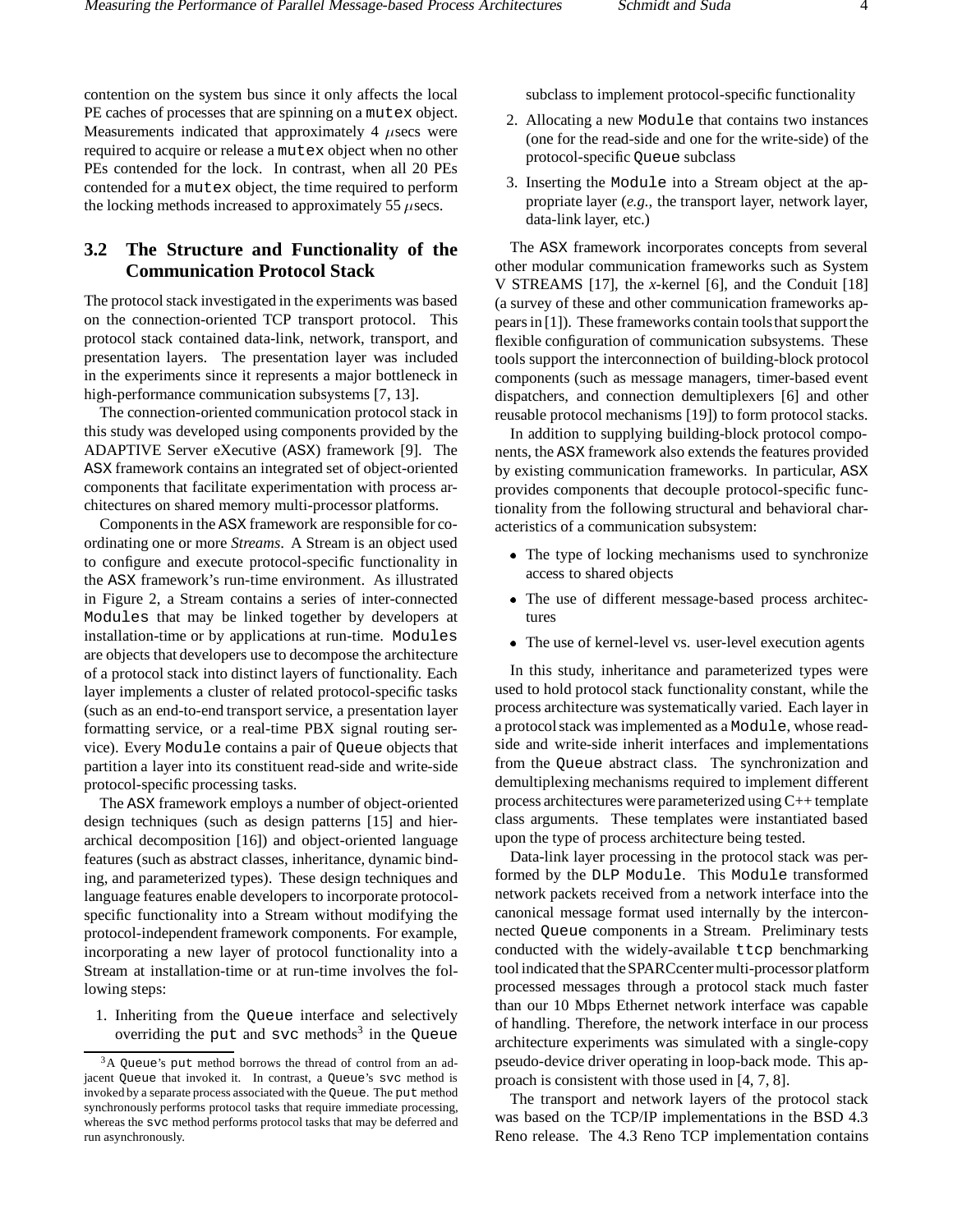contention on the system bus since it only affects the local PE caches of processes that are spinning on a mutex object. Measurements indicated that approximately 4  $\mu$  secs were required to acquire or release a mutex object when no other PEs contended for the lock. In contrast, when all 20 PEs contended for a mutex object, the time required to perform the locking methods increased to approximately 55  $\mu$ secs.

## **3.2 The Structure and Functionality of the Communication Protocol Stack**

The protocol stack investigated in the experiments was based on the connection-oriented TCP transport protocol. This protocol stack contained data-link, network, transport, and presentation layers. The presentation layer was included in the experiments since it represents a major bottleneck in high-performance communication subsystems [7, 13].

The connection-oriented communication protocol stack in this study was developed using components provided by the ADAPTIVE Server eXecutive (ASX) framework [9]. The ASX framework contains an integrated set of object-oriented components that facilitate experimentation with process architectures on shared memory multi-processor platforms.

Components in the ASX framework are responsible for coordinating one or more *Streams*. A Stream is an object used to configure and execute protocol-specific functionality in the ASX framework's run-time environment. As illustrated in Figure 2, a Stream contains a series of inter-connected Modules that may be linked together by developers at installation-time or by applications at run-time. Modules are objects that developers use to decompose the architecture of a protocol stack into distinct layers of functionality. Each layer implements a cluster of related protocol-specific tasks (such as an end-to-end transport service, a presentation layer formatting service, or a real-time PBX signal routing service). Every Module contains a pair of Queue objects that partition a layer into its constituent read-side and write-side protocol-specific processing tasks.

The ASX framework employs a number of object-oriented design techniques (such as design patterns [15] and hierarchical decomposition [16]) and object-oriented language features (such as abstract classes, inheritance, dynamic binding, and parameterized types). These design techniques and language features enable developers to incorporate protocolspecific functionality into a Stream without modifying the protocol-independent framework components. For example, incorporating a new layer of protocol functionality into a Stream at installation-time or at run-time involves the following steps:

1. Inheriting from the Queue interface and selectively overriding the put and svc methods<sup>3</sup> in the Queue subclass to implement protocol-specific functionality

- 2. Allocating a new Module that contains two instances (one for the read-side and one for the write-side) of the protocol-specific Queue subclass
- 3. Inserting the Module into a Stream object at the appropriate layer (*e.g.,* the transport layer, network layer, data-link layer, etc.)

The ASX framework incorporates concepts from several other modular communication frameworks such as System V STREAMS [17], the *x*-kernel [6], and the Conduit [18] (a survey of these and other communication frameworks appears in [1]). These frameworks contain toolsthat support the flexible configuration of communication subsystems. These tools support the interconnection of building-block protocol components (such as message managers, timer-based event dispatchers, and connection demultiplexers [6] and other reusable protocol mechanisms [19]) to form protocol stacks.

In addition to supplying building-block protocol components, the ASX framework also extends the features provided by existing communication frameworks. In particular, ASX provides components that decouple protocol-specific functionality from the following structural and behavioral characteristics of a communication subsystem:

- The type of locking mechanisms used to synchronize access to shared objects
- The use of different message-based process architectures
- The use of kernel-level vs. user-level execution agents

In this study, inheritance and parameterized types were used to hold protocol stack functionality constant, while the process architecture was systematically varied. Each layer in a protocol stack was implemented as a Module, whose readside and write-side inherit interfaces and implementations from the Queue abstract class. The synchronization and demultiplexing mechanisms required to implement different process architectures were parameterized using C++ template class arguments. These templates were instantiated based upon the type of process architecture being tested.

Data-link layer processing in the protocol stack was performed by the DLP Module. This Module transformed network packets received from a network interface into the canonical message format used internally by the interconnected Queue components in a Stream. Preliminary tests conducted with the widely-available ttcp benchmarking tool indicated that the SPARCcenter multi-processor platform processed messages through a protocol stack much faster than our 10 Mbps Ethernet network interface was capable of handling. Therefore, the network interface in our process architecture experiments was simulated with a single-copy pseudo-device driver operating in loop-back mode. This approach is consistent with those used in [4, 7, 8].

The transport and network layers of the protocol stack was based on the TCP/IP implementations in the BSD 4.3 Reno release. The 4.3 Reno TCP implementation contains

 $3A$  Queue's put method borrows the thread of control from an adjacent Queue that invoked it. In contrast, a Queue's svc method is invoked by a separate process associated with the Queue. The put method synchronously performs protocol tasks that require immediate processing, whereas the svc method performs protocol tasks that may be deferred and run asynchronously.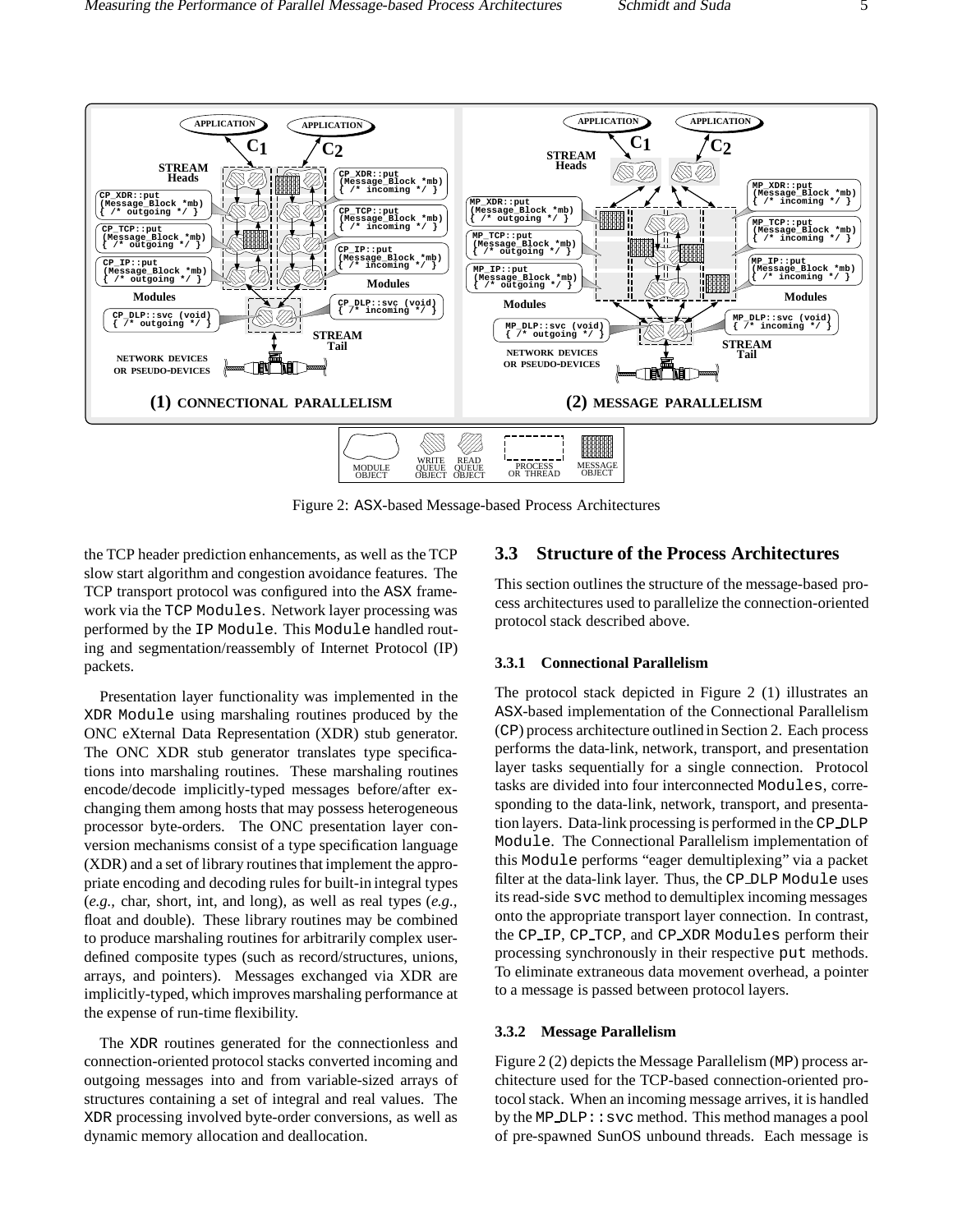

PROCESS OR THREAD WRITE QUEUE OBJECT WRITE READ<br>
MODULE QUEUE QUEUE<br>
OBJECT OBJECT OBJECT MODULE<br>OBJECT MESSAGE OBJECT

Figure 2: ASX-based Message-based Process Architectures

the TCP header prediction enhancements, as well as the TCP slow start algorithm and congestion avoidance features. The TCP transport protocol was configured into the ASX framework via the TCP Modules. Network layer processing was performed by the IP Module. This Module handled routing and segmentation/reassembly of Internet Protocol (IP) packets.

Presentation layer functionality was implemented in the XDR Module using marshaling routines produced by the ONC eXternal Data Representation (XDR) stub generator. The ONC XDR stub generator translates type specifications into marshaling routines. These marshaling routines encode/decode implicitly-typed messages before/after exchanging them among hosts that may possess heterogeneous processor byte-orders. The ONC presentation layer conversion mechanisms consist of a type specification language (XDR) and a set of library routines that implement the appropriate encoding and decoding rules for built-in integral types (*e.g.,* char, short, int, and long), as well as real types (*e.g.,* float and double). These library routines may be combined to produce marshaling routines for arbitrarily complex userdefined composite types (such as record/structures, unions, arrays, and pointers). Messages exchanged via XDR are implicitly-typed, which improves marshaling performance at the expense of run-time flexibility.

The XDR routines generated for the connectionless and connection-oriented protocol stacks converted incoming and outgoing messages into and from variable-sized arrays of structures containing a set of integral and real values. The XDR processing involved byte-order conversions, as well as dynamic memory allocation and deallocation.

### **3.3 Structure of the Process Architectures**

This section outlines the structure of the message-based process architectures used to parallelize the connection-oriented protocol stack described above.

### **3.3.1 Connectional Parallelism**

The protocol stack depicted in Figure 2 (1) illustrates an ASX-based implementation of the Connectional Parallelism (CP) process architecture outlined in Section 2. Each process performs the data-link, network, transport, and presentation layer tasks sequentially for a single connection. Protocol tasks are divided into four interconnected Modules, corresponding to the data-link, network, transport, and presentation layers. Data-link processing is performed in the CP DLP Module. The Connectional Parallelism implementation of this Module performs "eager demultiplexing" via a packet filter at the data-link layer. Thus, the CP\_DLP Module uses its read-side svc method to demultiplex incoming messages onto the appropriate transport layer connection. In contrast, the CP IP, CP TCP, and CP XDR Modules perform their processing synchronously in their respective put methods. To eliminate extraneous data movement overhead, a pointer to a message is passed between protocol layers.

#### **3.3.2 Message Parallelism**

Figure 2 (2) depicts the Message Parallelism (MP) process architecture used for the TCP-based connection-oriented protocol stack. When an incoming message arrives, it is handled by the  $MP\_DLP$ : svc method. This method manages a pool of pre-spawned SunOS unbound threads. Each message is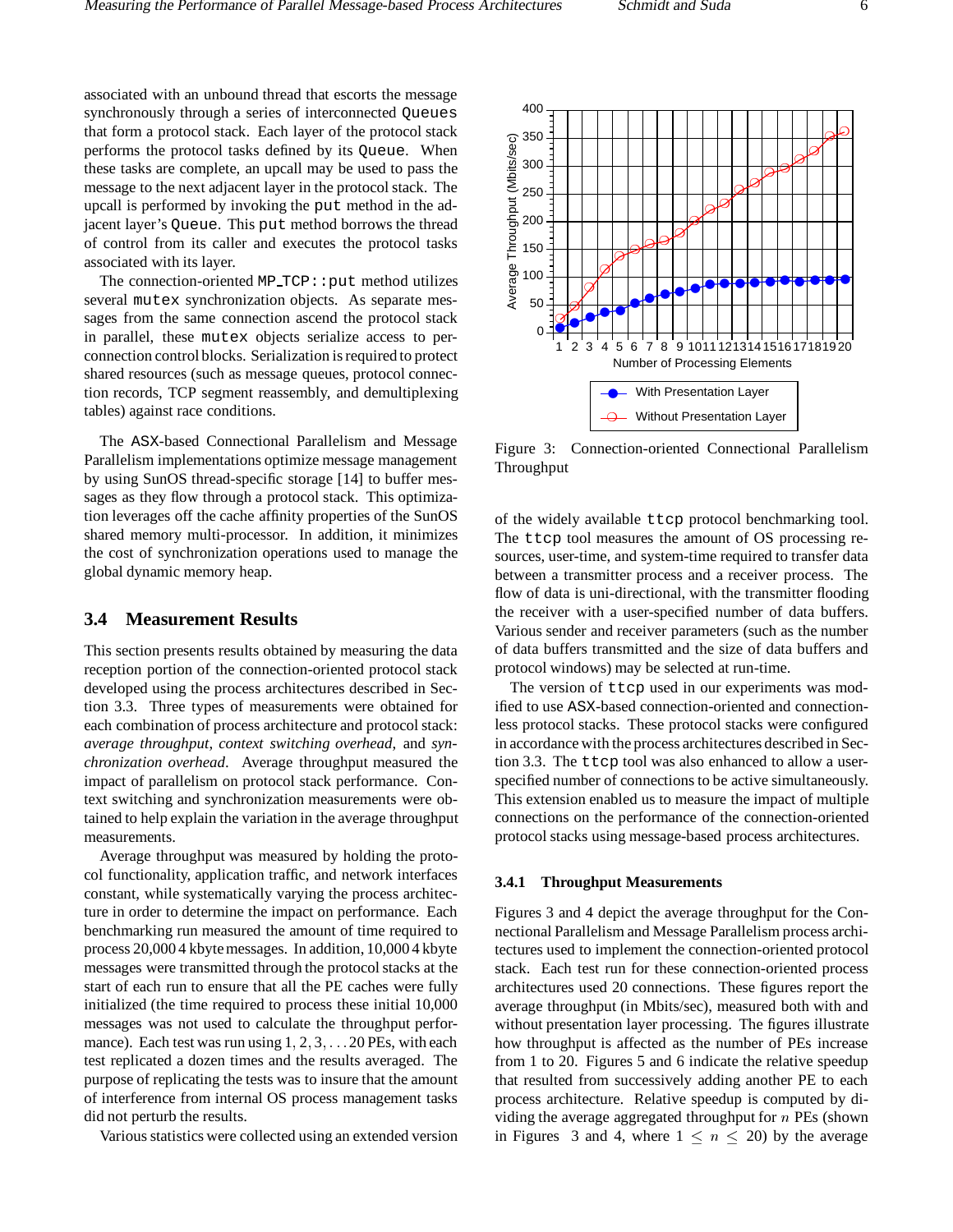associated with an unbound thread that escorts the message synchronously through a series of interconnected Queues that form a protocol stack. Each layer of the protocol stack performs the protocol tasks defined by its Queue. When these tasks are complete, an upcall may be used to pass the message to the next adjacent layer in the protocol stack. The upcall is performed by invoking the put method in the adjacent layer's Queue. This put method borrows the thread of control from its caller and executes the protocol tasks associated with its layer.

The connection-oriented  $MP_TCP:$ : put method utilizes several mutex synchronization objects. As separate messages from the same connection ascend the protocol stack in parallel, these mutex objects serialize access to perconnection control blocks. Serialization is required to protect shared resources (such as message queues, protocol connection records, TCP segment reassembly, and demultiplexing tables) against race conditions.

The ASX-based Connectional Parallelism and Message Parallelism implementations optimize message management by using SunOS thread-specific storage [14] to buffer messages as they flow through a protocol stack. This optimization leverages off the cache affinity properties of the SunOS shared memory multi-processor. In addition, it minimizes the cost of synchronization operations used to manage the global dynamic memory heap.

### **3.4 Measurement Results**

This section presents results obtained by measuring the data reception portion of the connection-oriented protocol stack developed using the process architectures described in Section 3.3. Three types of measurements were obtained for each combination of process architecture and protocol stack: *average throughput*, *context switching overhead*, and *synchronization overhead*. Average throughput measured the impact of parallelism on protocol stack performance. Context switching and synchronization measurements were obtained to help explain the variation in the average throughput measurements.

Average throughput was measured by holding the protocol functionality, application traffic, and network interfaces constant, while systematically varying the process architecture in order to determine the impact on performance. Each benchmarking run measured the amount of time required to process 20,000 4 kbyte messages. In addition, 10,000 4 kbyte messages were transmitted through the protocol stacks at the start of each run to ensure that all the PE caches were fully initialized (the time required to process these initial 10,000 messages was not used to calculate the throughput performance). Each test was run using  $1, 2, 3, \ldots$  20 PEs, with each test replicated a dozen times and the results averaged. The purpose of replicating the tests was to insure that the amount of interference from internal OS process management tasks did not perturb the results.

Various statistics were collected using an extended version



Figure 3: Connection-oriented Connectional Parallelism Throughput

of the widely available ttcp protocol benchmarking tool. The ttcp tool measures the amount of OS processing resources, user-time, and system-time required to transfer data between a transmitter process and a receiver process. The flow of data is uni-directional, with the transmitter flooding the receiver with a user-specified number of data buffers. Various sender and receiver parameters (such as the number of data buffers transmitted and the size of data buffers and protocol windows) may be selected at run-time.

The version of ttcp used in our experiments was modified to use ASX-based connection-oriented and connectionless protocol stacks. These protocol stacks were configured in accordance with the process architectures described in Section 3.3. The ttcp tool was also enhanced to allow a userspecified number of connections to be active simultaneously. This extension enabled us to measure the impact of multiple connections on the performance of the connection-oriented protocol stacks using message-based process architectures.

#### **3.4.1 Throughput Measurements**

Figures 3 and 4 depict the average throughput for the Connectional Parallelism and Message Parallelism process architectures used to implement the connection-oriented protocol stack. Each test run for these connection-oriented process architectures used 20 connections. These figures report the average throughput (in Mbits/sec), measured both with and without presentation layer processing. The figures illustrate how throughput is affected as the number of PEs increase from 1 to 20. Figures 5 and 6 indicate the relative speedup that resulted from successively adding another PE to each process architecture. Relative speedup is computed by dividing the average aggregated throughput for  $n$  PEs (shown in Figures 3 and 4, where  $1 \leq n \leq 20$ ) by the average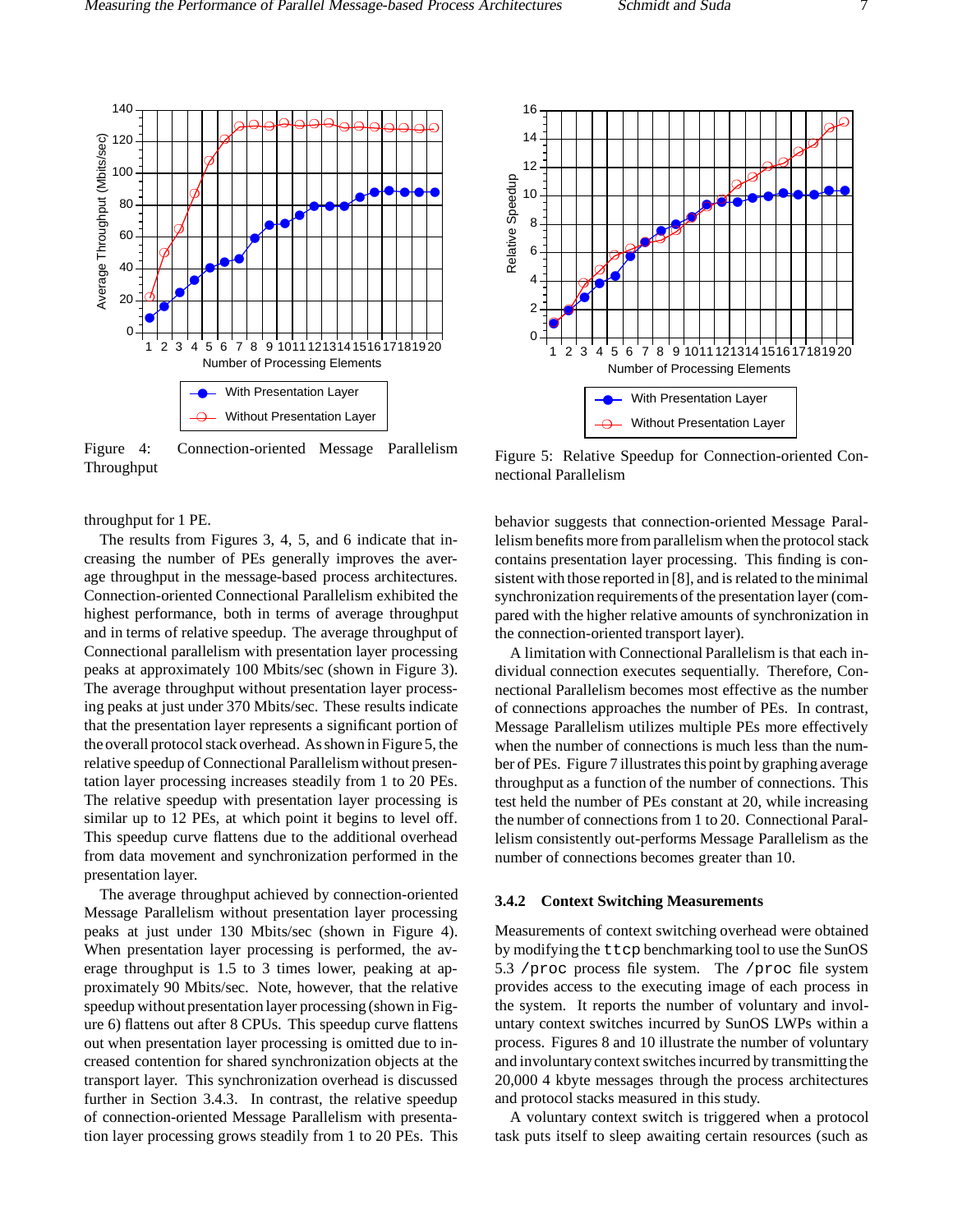

Figure 4: Connection-oriented Message Parallelism Throughput

throughput for 1 PE.

The results from Figures 3, 4, 5, and 6 indicate that increasing the number of PEs generally improves the average throughput in the message-based process architectures. Connection-oriented Connectional Parallelism exhibited the highest performance, both in terms of average throughput and in terms of relative speedup. The average throughput of Connectional parallelism with presentation layer processing peaks at approximately 100 Mbits/sec (shown in Figure 3). The average throughput without presentation layer processing peaks at just under 370 Mbits/sec. These results indicate that the presentation layer represents a significant portion of the overall protocol stack overhead. As shown in Figure 5, the relative speedup of Connectional Parallelism without presentation layer processing increases steadily from 1 to 20 PEs. The relative speedup with presentation layer processing is similar up to 12 PEs, at which point it begins to level off. This speedup curve flattens due to the additional overhead from data movement and synchronization performed in the presentation layer.

The average throughput achieved by connection-oriented Message Parallelism without presentation layer processing peaks at just under 130 Mbits/sec (shown in Figure 4). When presentation layer processing is performed, the average throughput is 1.5 to 3 times lower, peaking at approximately 90 Mbits/sec. Note, however, that the relative speedup without presentation layer processing (shown in Figure 6) flattens out after 8 CPUs. This speedup curve flattens out when presentation layer processing is omitted due to increased contention for shared synchronization objects at the transport layer. This synchronization overhead is discussed further in Section 3.4.3. In contrast, the relative speedup of connection-oriented Message Parallelism with presentation layer processing grows steadily from 1 to 20 PEs. This



Figure 5: Relative Speedup for Connection-oriented Connectional Parallelism

behavior suggests that connection-oriented Message Parallelism benefits more from parallelism when the protocol stack contains presentation layer processing. This finding is consistent with those reported in [8], and is related to the minimal synchronization requirements of the presentation layer (compared with the higher relative amounts of synchronization in the connection-oriented transport layer).

A limitation with Connectional Parallelism is that each individual connection executes sequentially. Therefore, Connectional Parallelism becomes most effective as the number of connections approaches the number of PEs. In contrast, Message Parallelism utilizes multiple PEs more effectively when the number of connections is much less than the number of PEs. Figure 7 illustrates this point by graphing average throughput as a function of the number of connections. This test held the number of PEs constant at 20, while increasing the number of connections from 1 to 20. Connectional Parallelism consistently out-performs Message Parallelism as the number of connections becomes greater than 10.

#### **3.4.2 Context Switching Measurements**

Measurements of context switching overhead were obtained by modifying the ttcp benchmarking tool to use the SunOS 5.3 /proc process file system. The /proc file system provides access to the executing image of each process in the system. It reports the number of voluntary and involuntary context switches incurred by SunOS LWPs within a process. Figures 8 and 10 illustrate the number of voluntary and involuntary context switches incurred by transmitting the 20,000 4 kbyte messages through the process architectures and protocol stacks measured in this study.

A voluntary context switch is triggered when a protocol task puts itself to sleep awaiting certain resources (such as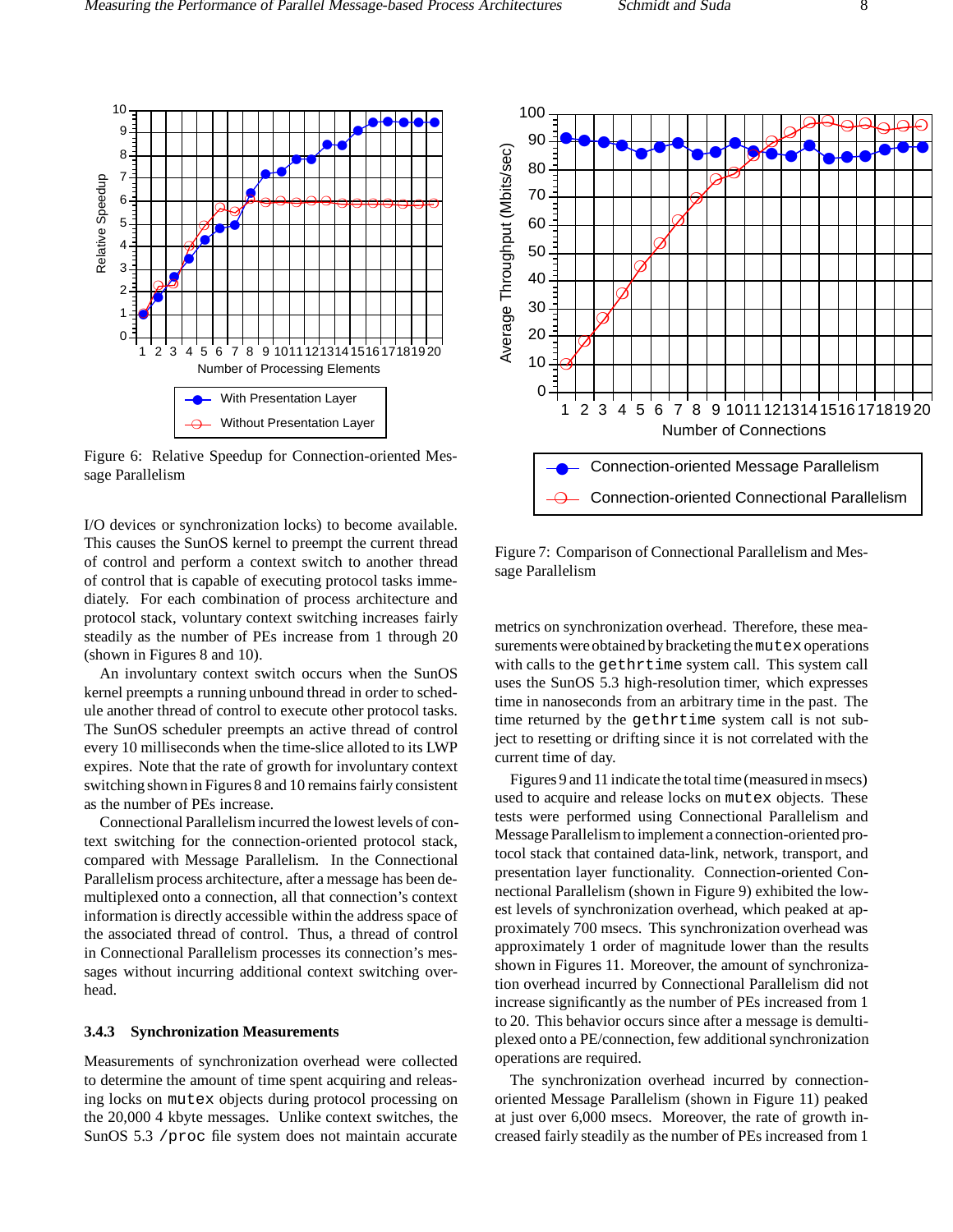

● ❍ 2 3 4 5 6 7 8 9 1011 121314 1516 1718 1920 Number of Processing Elements **With Presentation Layer** ❍ Without Presentation Layer

Figure 6: Relative Speedup for Connection-oriented Message Parallelism

● ●

Relative Speedup

Relative Speedup

❍ ❍

I/O devices or synchronization locks) to become available. This causes the SunOS kernel to preempt the current thread of control and perform a context switch to another thread of control that is capable of executing protocol tasks immediately. For each combination of process architecture and protocol stack, voluntary context switching increases fairly steadily as the number of PEs increase from 1 through 20 (shown in Figures 8 and 10).

An involuntary context switch occurs when the SunOS kernel preempts a running unbound thread in order to schedule another thread of control to execute other protocol tasks. The SunOS scheduler preempts an active thread of control every 10 milliseconds when the time-slice alloted to its LWP expires. Note that the rate of growth for involuntary context switching shown in Figures 8 and 10 remains fairly consistent as the number of PEs increase.

Connectional Parallelism incurred the lowest levels of context switching for the connection-oriented protocol stack, compared with Message Parallelism. In the Connectional Parallelism process architecture, after a message has been demultiplexed onto a connection, all that connection's context information is directly accessible within the address space of the associated thread of control. Thus, a thread of control in Connectional Parallelism processes its connection's messages without incurring additional context switching overhead.

#### **3.4.3 Synchronization Measurements**

Measurements of synchronization overhead were collected to determine the amount of time spent acquiring and releasing locks on mutex objects during protocol processing on the 20,000 4 kbyte messages. Unlike context switches, the SunOS 5.3 /proc file system does not maintain accurate



Figure 7: Comparison of Connectional Parallelism and Message Parallelism

metrics on synchronization overhead. Therefore, these measurements were obtained by bracketing the mutex operations with calls to the gethrtime system call. This system call uses the SunOS 5.3 high-resolution timer, which expresses time in nanoseconds from an arbitrary time in the past. The time returned by the gethrtime system call is not subject to resetting or drifting since it is not correlated with the current time of day.

Figures 9 and 11 indicate the total time (measured in msecs) used to acquire and release locks on mutex objects. These tests were performed using Connectional Parallelism and Message Parallelism to implement a connection-oriented protocol stack that contained data-link, network, transport, and presentation layer functionality. Connection-oriented Connectional Parallelism (shown in Figure 9) exhibited the lowest levels of synchronization overhead, which peaked at approximately 700 msecs. This synchronization overhead was approximately 1 order of magnitude lower than the results shown in Figures 11. Moreover, the amount of synchronization overhead incurred by Connectional Parallelism did not increase significantly as the number of PEs increased from 1 to 20. This behavior occurs since after a message is demultiplexed onto a PE/connection, few additional synchronization operations are required.

The synchronization overhead incurred by connectionoriented Message Parallelism (shown in Figure 11) peaked at just over 6,000 msecs. Moreover, the rate of growth increased fairly steadily as the number of PEs increased from 1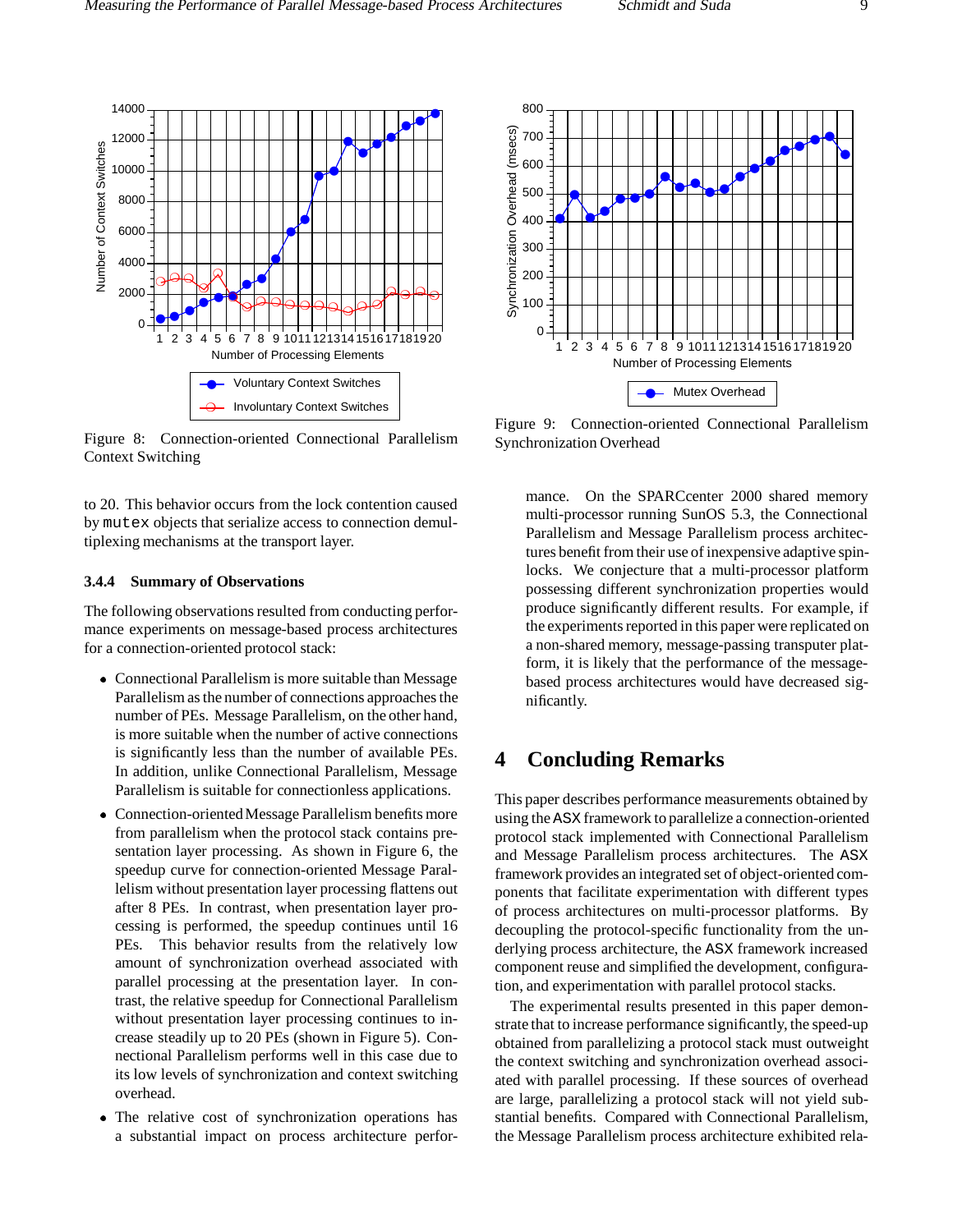

Figure 8: Connection-oriented Connectional Parallelism Context Switching

to 20. This behavior occurs from the lock contention caused by mutex objects that serialize access to connection demultiplexing mechanisms at the transport layer.

### **3.4.4 Summary of Observations**

The following observations resulted from conducting performance experiments on message-based process architectures for a connection-oriented protocol stack:

- Connectional Parallelism is more suitable than Message Parallelism as the number of connections approaches the number of PEs. Message Parallelism, on the other hand, is more suitable when the number of active connections is significantly less than the number of available PEs. In addition, unlike Connectional Parallelism, Message Parallelism is suitable for connectionless applications.
- Connection-orientedMessage Parallelism benefits more from parallelism when the protocol stack contains presentation layer processing. As shown in Figure 6, the speedup curve for connection-oriented Message Parallelism without presentation layer processing flattens out after 8 PEs. In contrast, when presentation layer processing is performed, the speedup continues until 16 PEs. This behavior results from the relatively low amount of synchronization overhead associated with parallel processing at the presentation layer. In contrast, the relative speedup for Connectional Parallelism without presentation layer processing continues to increase steadily up to 20 PEs (shown in Figure 5). Connectional Parallelism performs well in this case due to its low levels of synchronization and context switching overhead.
- The relative cost of synchronization operations has a substantial impact on process architecture perfor-



Figure 9: Connection-oriented Connectional Parallelism Synchronization Overhead

mance. On the SPARCcenter 2000 shared memory multi-processor running SunOS 5.3, the Connectional Parallelism and Message Parallelism process architectures benefit from their use of inexpensive adaptive spinlocks. We conjecture that a multi-processor platform possessing different synchronization properties would produce significantly different results. For example, if the experiments reported in this paper were replicated on a non-shared memory, message-passing transputer platform, it is likely that the performance of the messagebased process architectures would have decreased significantly.

# **4 Concluding Remarks**

This paper describes performance measurements obtained by using the ASX framework to parallelize a connection-oriented protocol stack implemented with Connectional Parallelism and Message Parallelism process architectures. The ASX framework provides an integrated set of object-oriented components that facilitate experimentation with different types of process architectures on multi-processor platforms. By decoupling the protocol-specific functionality from the underlying process architecture, the ASX framework increased component reuse and simplified the development, configuration, and experimentation with parallel protocol stacks.

The experimental results presented in this paper demonstrate that to increase performance significantly, the speed-up obtained from parallelizing a protocol stack must outweight the context switching and synchronization overhead associated with parallel processing. If these sources of overhead are large, parallelizing a protocol stack will not yield substantial benefits. Compared with Connectional Parallelism, the Message Parallelism process architecture exhibited rela-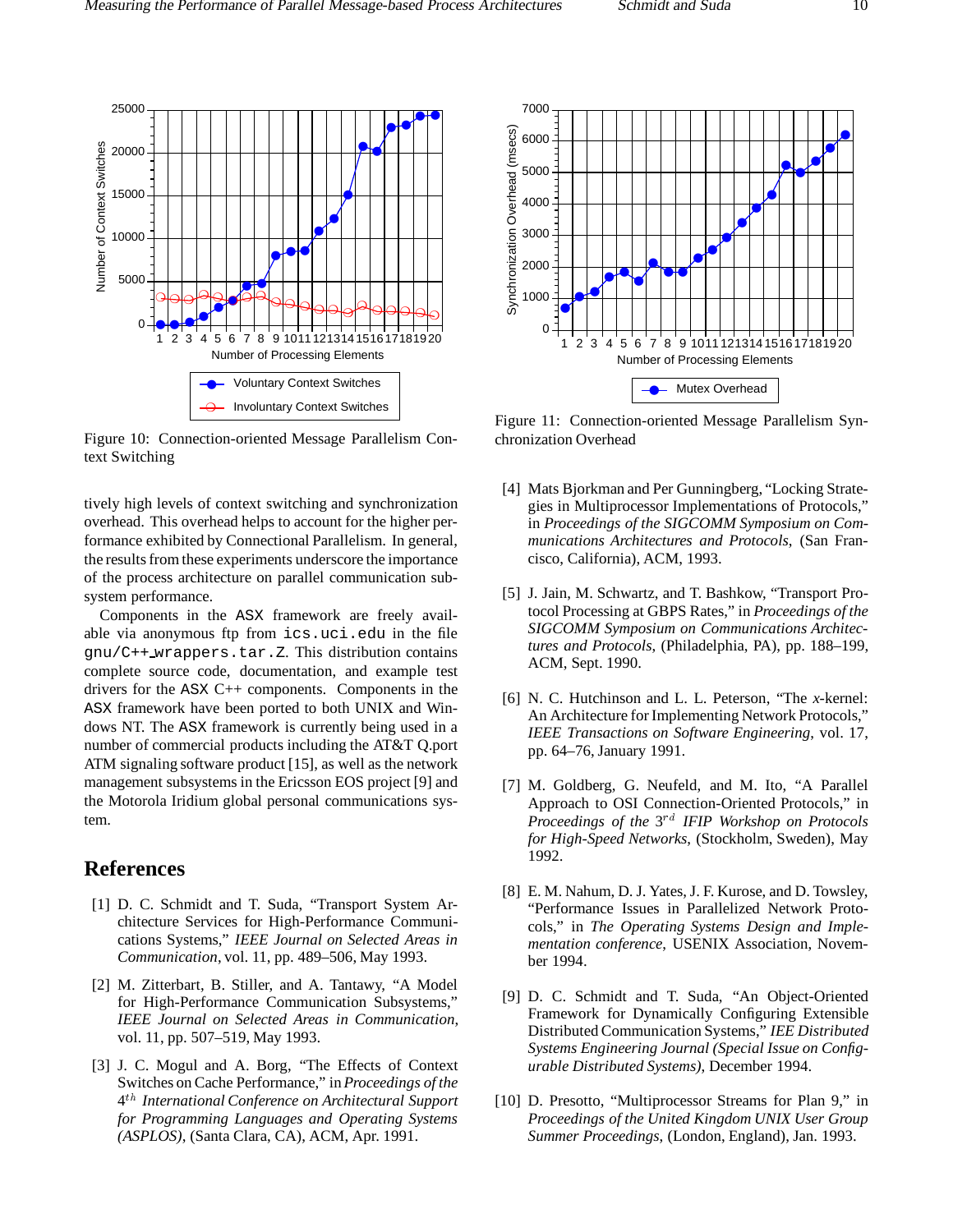

Figure 10: Connection-oriented Message Parallelism Context Switching

tively high levels of context switching and synchronization overhead. This overhead helps to account for the higher performance exhibited by Connectional Parallelism. In general, the results from these experiments underscore the importance of the process architecture on parallel communication subsystem performance.

Components in the ASX framework are freely available via anonymous ftp from ics.uci.edu in the file gnu/C++ wrappers.tar.Z. This distribution contains complete source code, documentation, and example test drivers for the ASX C++ components. Components in the ASX framework have been ported to both UNIX and Windows NT. The ASX framework is currently being used in a number of commercial products including the AT&T Q.port ATM signaling software product [15], as well as the network management subsystems in the Ericsson EOS project [9] and the Motorola Iridium global personal communications system.

# **References**

- [1] D. C. Schmidt and T. Suda, "Transport System Architecture Services for High-Performance Communications Systems," *IEEE Journal on Selected Areas in Communication*, vol. 11, pp. 489–506, May 1993.
- [2] M. Zitterbart, B. Stiller, and A. Tantawy, "A Model for High-Performance Communication Subsystems," *IEEE Journal on Selected Areas in Communication*, vol. 11, pp. 507–519, May 1993.
- [3] J. C. Mogul and A. Borg, "The Effects of Context Switches on Cache Performance," in*Proceedings of the* 4th *International Conference on Architectural Support for Programming Languages and Operating Systems (ASPLOS)*, (Santa Clara, CA), ACM, Apr. 1991.



Figure 11: Connection-oriented Message Parallelism Synchronization Overhead

- [4] Mats Bjorkman and Per Gunningberg, "Locking Strategies in Multiprocessor Implementations of Protocols," in *Proceedings of the SIGCOMM Symposium on Communications Architectures and Protocols*, (San Francisco, California), ACM, 1993.
- [5] J. Jain, M. Schwartz, and T. Bashkow, "Transport Protocol Processing at GBPS Rates," in *Proceedings of the SIGCOMM Symposium on Communications Architectures and Protocols*, (Philadelphia, PA), pp. 188–199, ACM, Sept. 1990.
- [6] N. C. Hutchinson and L. L. Peterson, "The *x*-kernel: An Architecture for Implementing Network Protocols," *IEEE Transactions on Software Engineering*, vol. 17, pp. 64–76, January 1991.
- [7] M. Goldberg, G. Neufeld, and M. Ito, "A Parallel Approach to OSI Connection-Oriented Protocols," in *Proceedings of the* 3rd *IFIP Workshop on Protocols for High-Speed Networks*, (Stockholm, Sweden), May 1992.
- [8] E. M. Nahum, D. J. Yates, J. F. Kurose, and D. Towsley, "Performance Issues in Parallelized Network Protocols," in *The Operating Systems Design and Implementation conference*, USENIX Association, November 1994.
- [9] D. C. Schmidt and T. Suda, "An Object-Oriented Framework for Dynamically Configuring Extensible Distributed Communication Systems," *IEE Distributed Systems Engineering Journal (Special Issue on Configurable Distributed Systems)*, December 1994.
- [10] D. Presotto, "Multiprocessor Streams for Plan 9," in *Proceedings of the United Kingdom UNIX User Group Summer Proceedings*, (London, England), Jan. 1993.